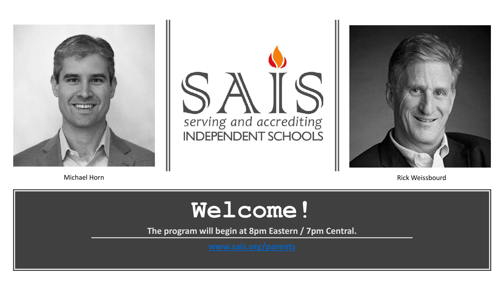





Michael Horn Rick Weissbourd

### **Welcome!**

**The program will begin at 8pm Eastern / 7pm Central.**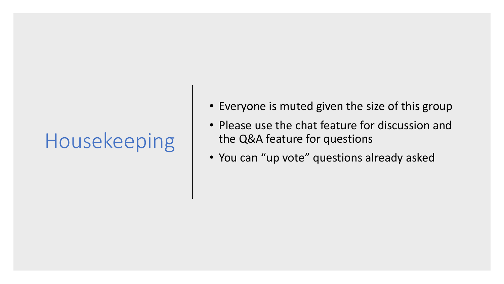### Housekeeping

- Everyone is muted given the size of this group
- Please use the chat feature for discussion and the Q&A feature for questions
- You can "up vote" questions already asked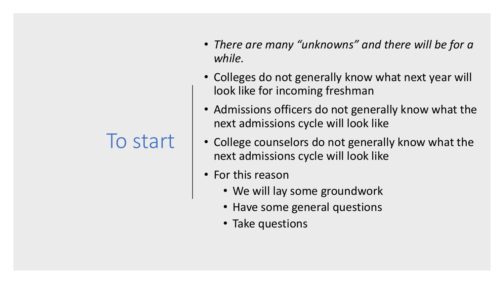### To start

- *There are many "unknowns" and there will be for a while.*
- Colleges do not generally know what next year will look like for incoming freshman
- Admissions officers do not generally know what the next admissions cycle will look like
- College counselors do not generally know what the next admissions cycle will look like
- For this reason
	- We will lay some groundwork
	- Have some general questions
	- Take questions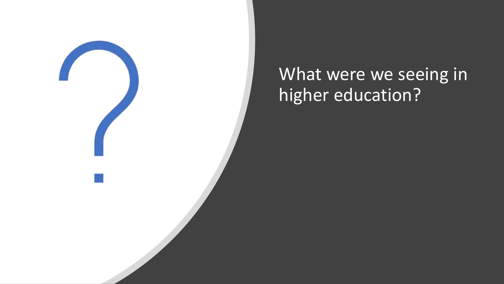

### What were we seeing in higher education?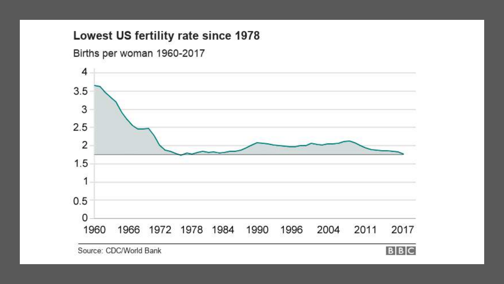#### Lowest US fertility rate since 1978



Births per woman 1960-2017

Source: CDC/World Bank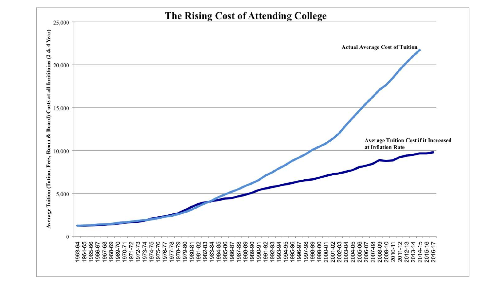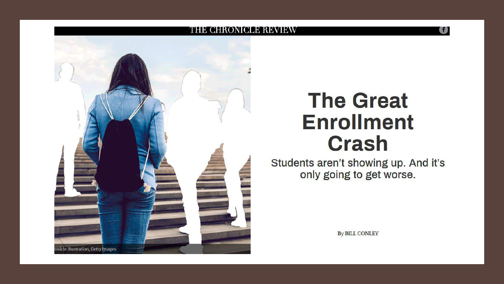

### **The Great Enrollment Crash**

医静

Students aren't showing up. And it's only going to get worse.

**By BILL CONLEY**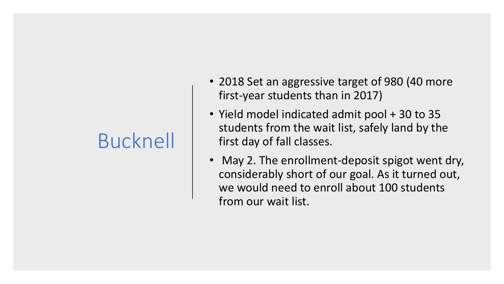### Bucknell

- 2018 Set an aggressive target of 980 (40 more first-year students than in 2017)
- Yield model indicated admit pool + 30 to 35 students from the wait list, safely land by the first day of fall classes.
- May 2. The enrollment-deposit spigot went dry, considerably short of our goal. As it turned out, we would need to enroll about 100 students from our wait list.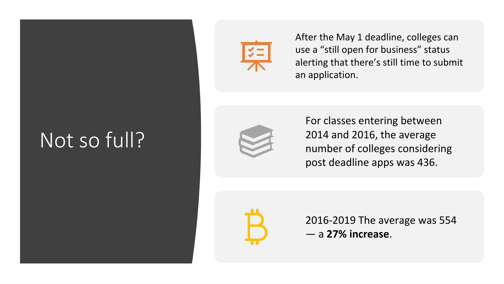### Not so full?



After the May 1 deadline, colleges can use a "still open for business" status alerting that there's still time to submit an application.



For classes entering between 2014 and 2016, the average number of colleges considering post deadline apps was 436.



2016-2019 The average was 554 — a **27% increase**.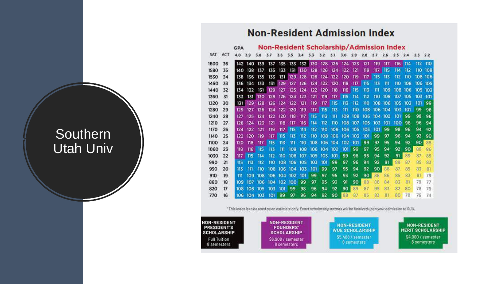#### **Non-Resident Admission Index**

|      |     | <b>GPA</b> |     | <b>Non-Resident Scholarship/Admission Index</b> |     |     |            |         |                             |     |     |      |     |     |     |            |     |       |           |     |
|------|-----|------------|-----|-------------------------------------------------|-----|-----|------------|---------|-----------------------------|-----|-----|------|-----|-----|-----|------------|-----|-------|-----------|-----|
| SAT  | ACT | 4.0        | 3.9 | 3.8                                             | 3.7 | 3.6 | 3.5        | 3.4     | 3.3                         | 3.2 | 3.1 | 3.0  | 2.9 | 2.8 | 2.7 | 2.6        | 2.5 | 2.4   | $2.3$ 2.2 |     |
| 1600 | 36  | 142        | 140 | 139                                             | 137 | 135 |            |         | 133 132 130 128 126 124 123 |     |     |      |     | 121 | 119 | 117        | 116 | $114$ | 112       | 110 |
| 1580 | 35  | 140        | 138 | 137                                             | 135 | 133 |            | 131 130 | 128                         | 126 | 124 | 122. | 121 | 119 | 117 | 115        | 114 | 112   | 110       | 108 |
| 1530 | 34  | 138        | 136 | 135                                             | 133 | 131 | 129        | 128     | 126                         | 124 | 122 | 120  | 119 | 117 | 115 | 113        | 112 | 110   | 108       | 106 |
| 1460 | 33  | 136        | 134 | 133                                             | 131 | 129 | 127        | 126     | 124                         | 122 | 120 | 118  | 117 | 115 | 113 | $^{\rm m}$ | 110 | 108   | 106       | 105 |
| 1440 | 32  | 134        | 132 | 131                                             | 129 | 127 | 125        | 124     | 122                         | 120 | 118 | 116  | 115 | 113 | 111 | 109        | 108 | 106   | 105       | 103 |
| 1360 | 31  | 133        | 131 | 130                                             | 128 | 126 | 124        | 123     | 121                         | 119 | 117 | 115  | 114 | 112 | 110 | 108        | 107 | 105   | 103       | 101 |
| 1320 | 30  | 131        | 129 | 128                                             | 126 | 124 | 122        | 121     | 119                         | 117 | 115 | 113  | 112 | 110 | 108 | 106        | 105 | 103   | 101       | 99  |
| 1280 | 29  | 129        | 127 | 126                                             | 124 | 122 | 120        | 119     | 117                         | 115 | 113 | 111  | 110 | 108 | 106 | 104        | 103 | 101   | 99        | 98  |
| 1240 | 28  | 127        | 125 | 124                                             | 122 | 120 | 118        | 117     | 115                         | 113 | 111 | 109  | 108 | 106 | 104 | 102        | 101 | 99    | 98        | 96  |
| 1210 | 27  | 126        | 124 | 123                                             | 121 | 118 | 117        | 116     | 114                         | 112 | 110 | 108  | 107 | 105 | 103 | 101        | 100 | 98    | 96        | 94  |
| 1170 | 26  | 124        | 122 | 121                                             | 119 | 117 | 115        | 114     | 112                         | 110 | 108 | 106  | 105 | 103 | 101 | 99         | 98  | 96    | 94        | 92  |
| 1140 | 25  | 122        | 120 | 119                                             | 117 | 115 | 113        | 112     | 110                         | 108 | 106 | 104  | 103 | 101 | 99  | 97         | 96  | 94    | 92        | 90  |
| 1100 | 24  | 120        | 118 | 117                                             | 115 | 113 | $^{\rm m}$ | 110     | 108                         | 106 | 104 | 102  | 101 | 99  | 97  | 95         | 94  | 92    | 90        | 88  |
| 1060 | 23  | 118        | 116 | 115                                             | 113 | 111 | 109        | 108     | 106                         | 104 | 102 | 101  | 99  | 97  | 95  | 94         | 92  | 90    | 88        | 96  |
| 1030 | 22  | 117        | 115 | 114                                             | 112 | 110 | 108        | 107     | 105                         | 103 | 101 | 99   | 98  | 96  | 94  | 92         | 91  | 89    | 87        | 85  |
| 990  | 21  | 115        | 113 | 112                                             | 110 | 108 | 106        | 105     | 103                         | 101 | 99  | 97   | 96  | 94  | 92  | 91         | 89  | 87    | 85        | 83  |
| 950  | 20  | 113        | 111 | 110                                             | 108 | 106 | 104        | 103     | 101                         | 99  | 97  | 95   | 94  | 92  | 90  | 88         | 87  | 85    | 83        | 81  |
| 910  | 19  | m          | 109 | 108                                             | 106 | 104 | 102        | 101     | 99                          | 97  | 95  | 93   | 92  | 90  | 88  | 86         | 85  | 83    | 81        | 79  |
| 860  | 18  | 109        | 107 | 106                                             | 104 | 102 | 100        | 99      | 97                          | 95  | 93  | 91   | 90  | 88  | 86  | 84         | 83  | 81    | 79        | 77  |
| 820  | 17  | 108        | 106 | 105                                             | 103 | 101 | 99         | 98      | 96                          | 94  | 92  | 90   | 89  | 87  | 95  | 83         | 82  | 80    | 78        | 76  |
| 770  | 16  | 106        | 104 | 103                                             | 101 | 99  | 97         | 96      | 94                          | 92  | 90  | 88   | 87  | 85  | 83  | 81         | 80  | 78    | 76        | 74  |

\* This index is to be used as an estimate only. Exact scholarship awards will be finalized upon your admission to SUU.



### **Southern** Utah Univ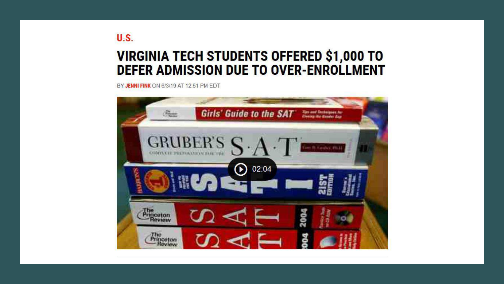### **VIRGINIA TECH STUDENTS OFFERED \$1,000 TO** DEFER ADMISSION DUE TO OVER-ENROLLMENT

BY JENNI FINK ON 6/3/19 AT 12:51 PM EDT

**U.S.** 

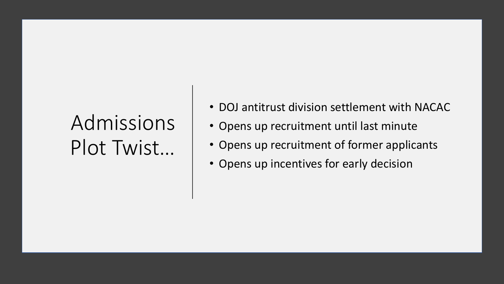### Admissions Plot Twist…

- DOJ antitrust division settlement with NACAC
- Opens up recruitment until last minute
- Opens up recruitment of former applicants
- Opens up incentives for early decision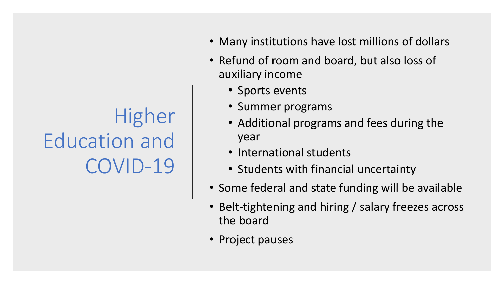### Higher Education and COVID-19

- Many institutions have lost millions of dollars
- Refund of room and board, but also loss of auxiliary income
	- Sports events
	- Summer programs
	- Additional programs and fees during the year
	- International students
	- Students with financial uncertainty
- Some federal and state funding will be available
- Belt-tightening and hiring / salary freezes across the board
- Project pauses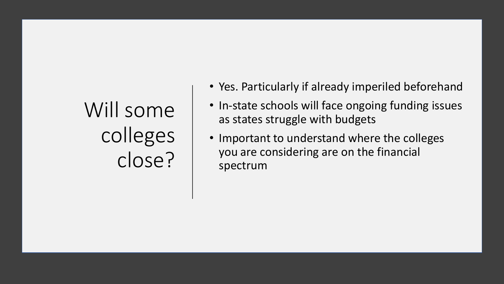# Will some colleges close?

- Yes. Particularly if already imperiled beforehand
- In-state schools will face ongoing funding issues as states struggle with budgets
- Important to understand where the colleges you are considering are on the financial spectrum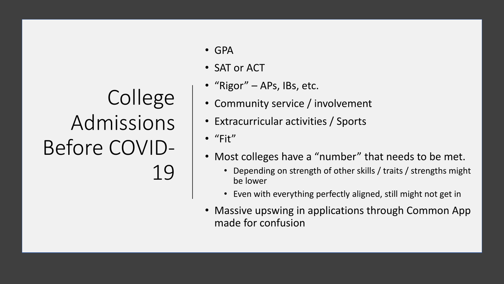### College Admissions Before COVID-19

- GPA
- SAT or ACT
- "Rigor" APs, IBs, etc.
- Community service / involvement
- Extracurricular activities / Sports
- "Fit"
- Most colleges have a "number" that needs to be met.
	- Depending on strength of other skills / traits / strengths might be lower
	- Even with everything perfectly aligned, still might not get in
- Massive upswing in applications through Common App made for confusion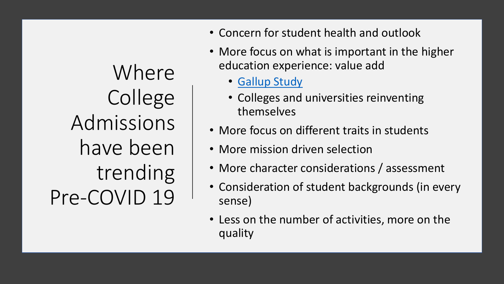Where College Admissions have been trending Pre-COVID 19

- Concern for student health and outlook
- More focus on what is important in the higher education experience: value add
	- [Gallup Study](https://news.gallup.com/poll/168848/life-college-matters-life-college.aspx)
	- Colleges and universities reinventing themselves
- More focus on different traits in students
- More mission driven selection
- More character considerations / assessment
- Consideration of student backgrounds (in every sense)
- Less on the number of activities, more on the quality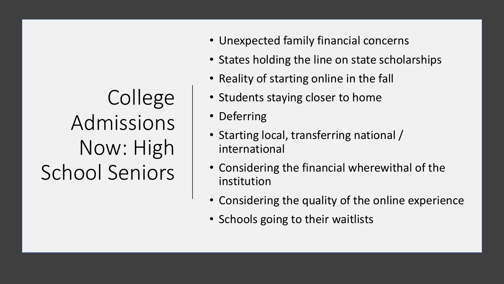College Admissions Now: High School Seniors

- Unexpected family financial concerns
- States holding the line on state scholarships
- Reality of starting online in the fall
- Students staying closer to home
- Deferring
- Starting local, transferring national / international
- Considering the financial wherewithal of the institution
- Considering the quality of the online experience
- Schools going to their waitlists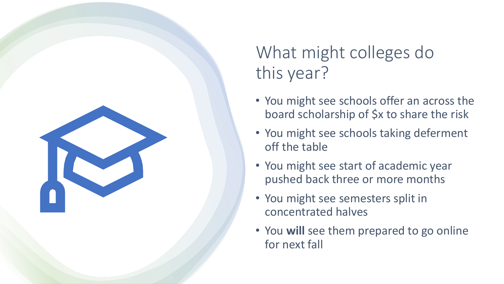

### What might colleges do this year?

- You might see schools offer an across the board scholarship of \$x to share the risk
- You might see schools taking deferment off the table
- You might see start of academic year pushed back three or more months
- You might see semesters split in concentrated halves
- You **will** see them prepared to go online for next fall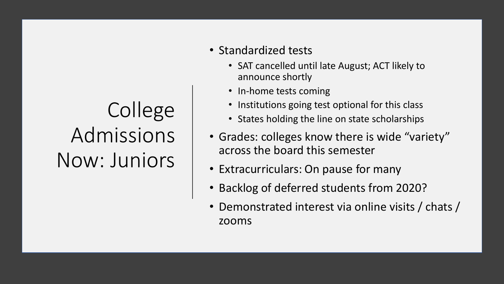# College Admissions Now: Juniors

- Standardized tests
	- SAT cancelled until late August; ACT likely to announce shortly
	- In-home tests coming
	- Institutions going test optional for this class
	- States holding the line on state scholarships
- Grades: colleges know there is wide "variety" across the board this semester
- Extracurriculars: On pause for many
- Backlog of deferred students from 2020?
- Demonstrated interest via online visits / chats / zooms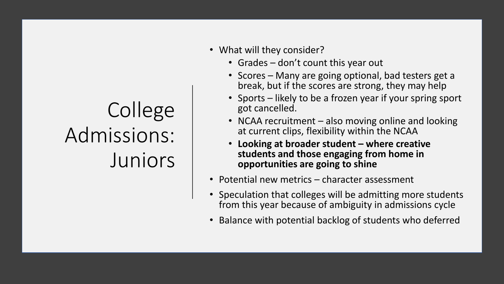# College Admissions: **Juniors**

- What will they consider?
	- Grades don't count this year out
	- Scores Many are going optional, bad testers get a break, but if the scores are strong, they may help
	- Sports likely to be a frozen year if your spring sport got cancelled.
	- NCAA recruitment also moving online and looking at current clips, flexibility within the NCAA
	- **Looking at broader student – where creative students and those engaging from home in opportunities are going to shine**
- Potential new metrics character assessment
- Speculation that colleges will be admitting more students from this year because of ambiguity in admissions cycle
- Balance with potential backlog of students who deferred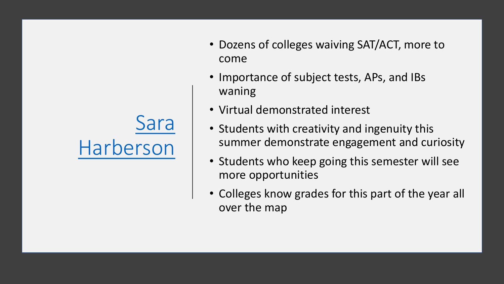

- Dozens of colleges waiving SAT/ACT, more to come
- Importance of subject tests, APs, and IBs waning
- Virtual demonstrated interest
- Students with creativity and ingenuity this summer demonstrate engagement and curiosity
- Students who keep going this semester will see more opportunities
- Colleges know grades for this part of the year all over the map